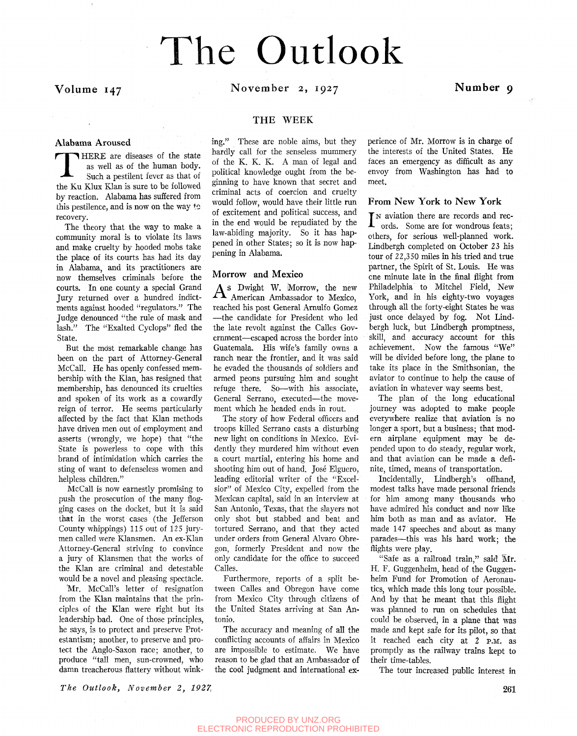# The Outlook

# Volume 147 November 2, 1927 Number 9

### **Alabama Aroused**

Thana HERE are diseases of the state as well as of the human body. Such a pestilent fever as that of the Ku Klux Klan is sure to be followed by reaction. Alabama has suffered from this pestilence, and is now on the way tc recovery.

The theory that the way to make a community moral is to violate its laws and makg cruelty by hooded mobs take the place of its courts has had its day in Alabama, and its practitioners are now themselves criminals before the courts. In one county a special Grand Jury returned over a hundred indictments against hooded "regulators." The Judge denounced "the rule of mask and lash." The "Exalted Cyclops" fled the State.

But the most remarkable change has been on the part of Attorney-General McCall. He has openly confessed membership with the Klan, has resigned that membership, has denounced its cruelties and spoken of its work as a cowardly reign of terror. He seems particularly affected by the fact that Klan methods have driven men out of employment and asserts (wrongly, we hope) that "the State is powerless to cope with this brand of intimidation which carries the sting of want to defenseless women and helpless children."

McCall is now earnestly promising to push the prosecution of the many flogging cases on the docket, but it is said that in the worst cases (the Jefferson County whippings) 115 out of 125 jurymen called were Klansmen. An ex-Klan Attorney-General striving to convince a jury of Klansmen that the works of the Klan are criminal and detestable would be a novel and pleasing spectacle.

Mr. McCall's letter of resignation from the Klan maintains that the principles of the Klan were right but its leadership bad. One of those principles, he says, is to protect and preserve Protestantism; another, to preserve and protect the Anglo-Saxon race; another, to produce "tall men, sun-crowned, who damn treacherous flattery without wink-

## THE WEEK

ing." These are noble aims, but they hardly call for the senseless mummery of the K. K. K. A man of legal and political knowledge ought from the beginning to have known that secret and criminal acts of coercion and cruelty would follow, would have their little run of excitement and political success, and in the end would be repudiated by the law-abiding majority. So it has happened in other States; so it is now happening in Alabama.

#### **Morrow and Mexico**

As Dwight W. Morrow, the new American Ambassador to Mexico, American Ambassador to Mexico, reached his post General Arnulfo Gomez —the candidate for President who led the late revolt against the Calles Government—escaped across the border into Guatemala. His wife's family owns a ranch near the frontier, and it was said he evaded the thousands of soldiers and armed peons pursuing him and sought refuge there. So—with his associate. General Serrano, executed—the movement which he headed ends in rout.

The story of how Federal officers and troops killed Serrano casts a disturbing new light on conditions in Mexico. Evidently they murdered him without even a court martial, entering his home and shooting him out of hand. Jose Elguero, leading editorial writer of the "Excelsior" of Mexico City, expelled from the Mexican capital, said in an interview at San Antonio, Texas, that the slayers not only shot but stabbed and beat and tortured Serrano, and that they acted under orders from General Alvaro Obregon, formerly President and now the only candidate for the office to succeed Calles.

Furthermore, reports of a split between Calles and Obregon have come from Mexico City through citizens of the United States arriving at San Antonio.

The accuracy and meaning of all the conflicting accounts of affairs in Mexico are impossible to estimate. We have reason to be glad that an Ambassador of the cool judgment and international experience of Mr. Morrow is in charge of the interests of the United States. He faces an emergency as difficult as any envoy from Washington has had to meet.

#### **From Ne w York to Ne w York**

IN aviation there are records and records. Some are for wondrous feats; IN aviation there are records and recothers, for serious well-planned work. Lindbergh completed on October 23 his tour of 22,350 miles in his tried and true partner, the Spirit of St. Louis. He was one minute late in the final flight from Philadelphia to Mitchel Field, New York, and in his eighty-two voyages through all the forty-eight States he was just once delayed by fog. Not Lindbergh luck, but Lindbergh promptness, skill, and accuracy account for this achievement. Now the famous "We" will be divided before long, the plane to take its place in the Smithsonian, the aviator to continue to help the cause of aviation in whatever way seems best.

The plan of the long educational journey was adopted to make people everywhere realize that aviation is no longer a sport, but a business; that modern airplane equipment may be depended upon to do steady, regular work, and that aviation can be made a definite, timed, means of transportation.

Incidentally, Lindbergh's offhand, modest talks have made personal friends for him among many thousands who have admired his conduct and now like him both as man and as aviator. He made 147 speeches and about as many parades—this was his hard work; the flights were play.

"Safe as a railroad train," said Mr. H. F. Guggenheim, head of the Guggenheim Fund for Promotion of Aeronautics, which made this long tour possible. And by that he meant that this flight was planned to run on schedules that could be observed, in a plane that was made and kept safe for its pilot, so that it reached each city at 2 P.M. as promptly as the railway trains kept to their time-tables.

The tour increased public interest in

*The Outlook, November 2, 1927,* **261**